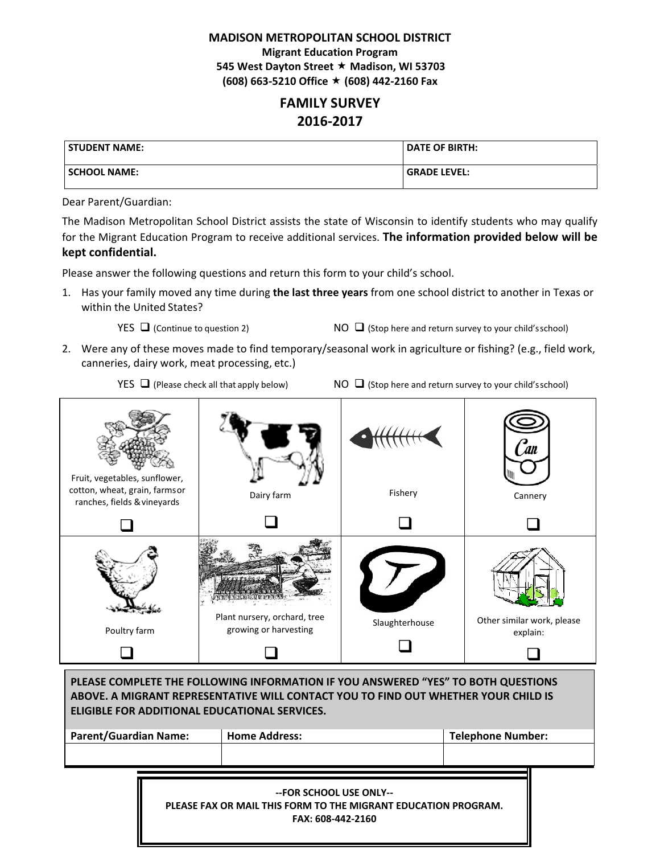### **MADISON METROPOLITAN SCHOOL DISTRICT**

 **Migrant Education Program 545 West Dayton Street Madison, WI 53703 (608) 663‐5210 Office (608) 442‐2160 Fax**

# **FAMILY SURVEY 2016‐2017**

| l STUDENT NAME:     | <b>DATE OF BIRTH:</b> |
|---------------------|-----------------------|
| <b>SCHOOL NAME:</b> | l GRADE LEVEL:        |

#### Dear Parent/Guardian:

 The Madison Metropolitan School District assists the state of Wisconsin to identify students who may qualify  for the Migrant Education Program to receive additional services. **The information provided below will be kept confidential.**

Please answer the following questions and return this form to your child's school.

  1. Has your family moved any time during **the last three years** from one school district to another in Texas or within the United States?

YES  $\Box$  (Continue to question 2) NO  $\Box$  (Stop here and return survey to your child'sschool)

 2. Were any of these moves made to find temporary/seasonal work in agriculture or fishing? (e.g., field work, canneries, dairy work, meat processing, etc.)

YES  $\Box$  (Please check all that apply below)  $\Box$  (Stop here and return survey to your child'sschool)



| PLEASE COMPLETE THE FOLLOWING INFORMATION IF YOU ANSWERED "YES" TO BOTH QUESTIONS<br>ABOVE. A MIGRANT REPRESENTATIVE WILL CONTACT YOU TO FIND OUT WHETHER YOUR CHILD IS<br>ELIGIBLE FOR ADDITIONAL EDUCATIONAL SERVICES. |                                                                                                                |                          |  |
|--------------------------------------------------------------------------------------------------------------------------------------------------------------------------------------------------------------------------|----------------------------------------------------------------------------------------------------------------|--------------------------|--|
| <b>Parent/Guardian Name:</b>                                                                                                                                                                                             | <b>Home Address:</b>                                                                                           | <b>Telephone Number:</b> |  |
|                                                                                                                                                                                                                          |                                                                                                                |                          |  |
|                                                                                                                                                                                                                          | --FOR SCHOOL USE ONLY--<br>PLEASE FAX OR MAIL THIS FORM TO THE MIGRANT EDUCATION PROGRAM.<br>FAX: 608-442-2160 |                          |  |